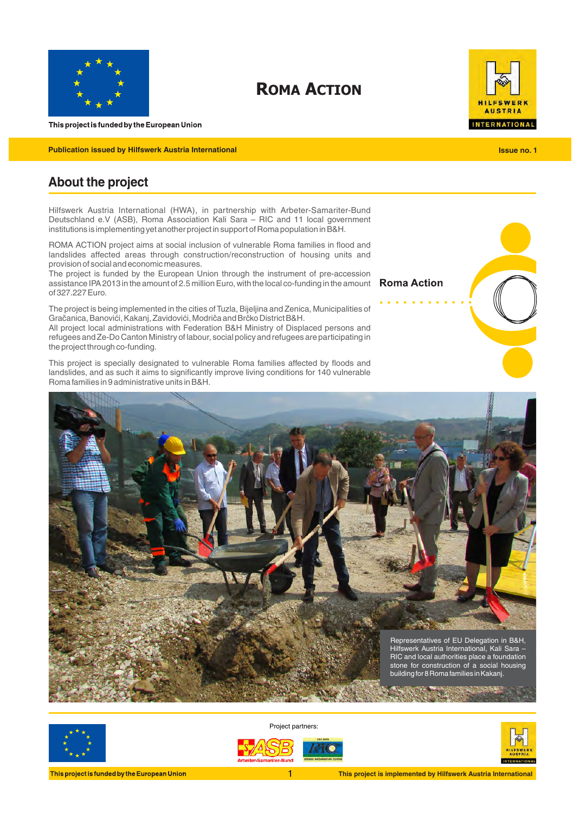

**ROMA ACTION**



**Publication issued by Hilfswerk Austria International** 

# VERK **AUSTRIA INTERNATIONAL**

**Issue no. 1**

# **About the project**

l

Hilfswerk Austria International (HWA), in partnership with Arbeter-Samariter-Bund Deutschland e.V (ASB), Roma Association Kali Sara – RIC and 11 local government institutions is implementing yet another project in support of Roma population in B&H.

ROMA ACTION project aims at social inclusion of vulnerable Roma families in flood and landslides affected areas through construction/reconstruction of housing units and provision of social and economic measures.

The project is funded by the European Union through the instrument of pre-accession assistance IPA 2013 in the amount of 2.5 million Euro, with the local co-funding in the amount of 327.227 Euro.

The project is being implemented in the cities of Tuzla, Bijeljina and Zenica, Municipalities of Gračanica, Banovići, Kakanj, Zavidovići, Modriča and Brčko District B&H.

All project local administrations with Federation B&H Ministry of Displaced persons and refugees and Ze-Do Canton Ministry of labour, social policy and refugees are participating in the project through co-funding.

This project is specially designated to vulnerable Roma families affected by floods and landslides, and as such it aims to significantly improve living conditions for 140 vulnerable Roma families in 9 administrative units in B&H.





Project partners:





This project is funded by the European Union

**This project is implemented by Hilfswerk Austria International** 

**Roma Action**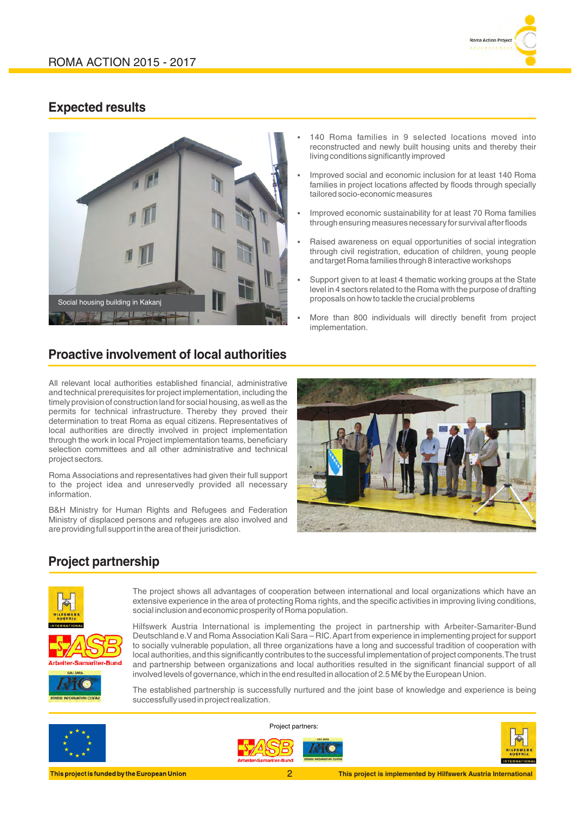

### **Expected results**



# **Proactive involvement of local authorities**

All relevant local authorities established financial, administrative and technical prerequisites for project implementation, including the timely provision of construction land for social housing, as well as the permits for technical infrastructure. Thereby they proved their determination to treat Roma as equal citizens. Representatives of local authorities are directly involved in project implementation through the work in local Project implementation teams, beneficiary selection committees and all other administrative and technical project sectors.

Roma Associations and representatives had given their full support to the project idea and unreservedly provided all necessary information.

B&H Ministry for Human Rights and Refugees and Federation Ministry of displaced persons and refugees are also involved and are providing full support in the area of their jurisdiction.

- 140 Roma families in 9 selected locations moved into reconstructed and newly built housing units and thereby their living conditions significantly improved
- Improved social and economic inclusion for at least 140 Roma families in project locations affected by floods through specially tailored socio-economic measures
- Improved economic sustainability for at least 70 Roma families through ensuring measures necessary for survival after floods
- Raised awareness on equal opportunities of social integration through civil registration, education of children, young people and target Roma families through 8 interactive workshops
- § Support given to at least 4 thematic working groups at the State level in 4 sectors related to the Roma with the purpose of drafting proposals on how to tackle the crucial problems
- More than 800 individuals will directly benefit from project implementation.



# **Project partnership**



The project shows all advantages of cooperation between international and local organizations which have an extensive experience in the area of protecting Roma rights, and the specific activities in improving living conditions, social inclusion and economic prosperity of Roma population.

Hilfswerk Austria International is implementing the project in partnership with Arbeiter-Samariter-Bund Deutschland e.V and Roma Association Kali Sara – RIC. Apart from experience in implementing project for support to socially vulnerable population, all three organizations have a long and successful tradition of cooperation with local authorities, and this significantly contributes to the successful implementation of project components. The trust and partnership between organizations and local authorities resulted in the significant financial support of all involved levels of governance, which in the end resulted in allocation of 2.5 M€ by the European Union.

The established partnership is successfully nurtured and the joint base of knowledge and experience is being successfully used in project realization.



Project partners:



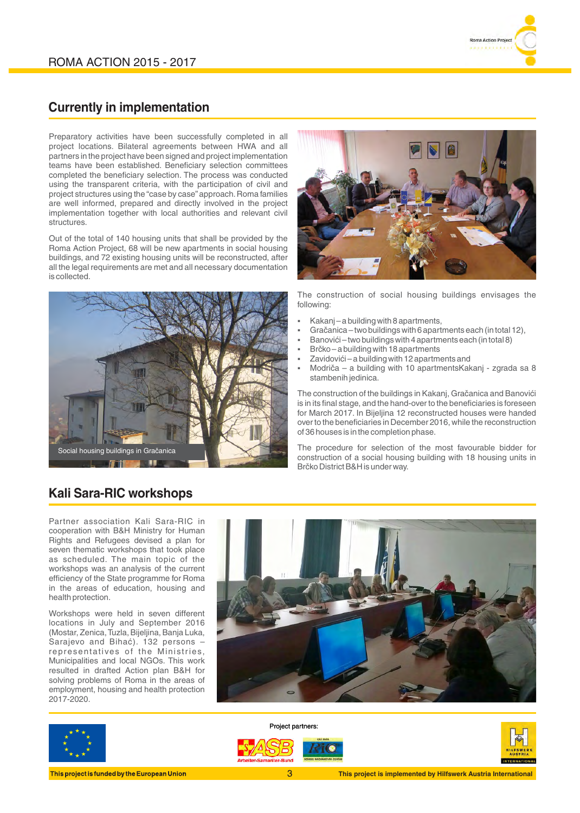

### **Currently in implementation**

Preparatory activities have been successfully completed in all project locations. Bilateral agreements between HWA and all partners in the project have been signed and project implementation teams have been established. Beneficiary selection committees completed the beneficiary selection. The process was conducted using the transparent criteria, with the participation of civil and project structures using the "case by case" approach. Roma families are well informed, prepared and directly involved in the project implementation together with local authorities and relevant civil structures.

 Out of the total of 140 housing units that shall be provided by the Roma Action Project, 68 will be new apartments in social housing buildings, and 72 existing housing units will be reconstructed, after all the legal requirements are met and all necessary documentation is collected.





The construction of social housing buildings envisages the following:

- § Kakanj a building with 8 apartments,
- § Gračanica two buildings with 6 apartments each (in total 12),
- § Banovići two buildings with 4 apartments each (in total 8)
- § Brčko a building with 18 apartments
- § Zavidovići a building with 12 apartments and
- § Modriča a building with 10 apartmentsKakanj zgrada sa 8 stambenih jedinica.

The construction of the buildings in Kakanj, Gračanica and Banovići is in its final stage, and the hand-over to the beneficiaries is foreseen for March 2017. In Bijeljina 12 reconstructed houses were handed over to the beneficiaries in December 2016, while the reconstruction of 36 houses is in the completion phase.

The procedure for selection of the most favourable bidder for construction of a social housing building with 18 housing units in Brčko District B&H is under way.

## **Kali Sara-RIC workshops**

Partner association Kali Sara-RIC in cooperation with B&H Ministry for Human Rights and Refugees devised a plan for seven thematic workshops that took place as scheduled. The main topic of the workshops was an analysis of the current efficiency of the State programme for Roma in the areas of education, housing and health protection.

Workshops were held in seven different locations in July and September 2016 (Mostar, Zenica, Tuzla, Bijeljina, Banja Luka, Sarajevo and Bihać). 132 persons – representatives of the Ministries, Municipalities and local NGOs. This work resulted in drafted Action plan B&H for solving problems of Roma in the areas of employment, housing and health protection 2017-2020.





Project partners: